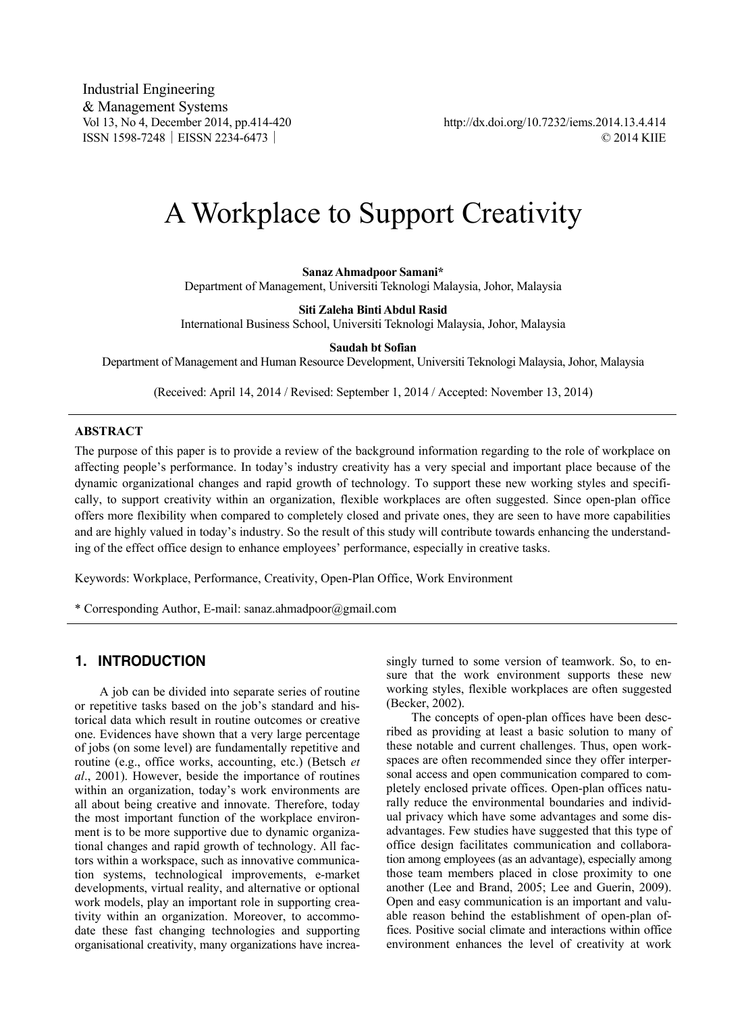Industrial Engineering & Management Systems<br>Vol 13, No 4, December 2014, pp.414-420

http://dx.doi.org/10.7232/iems.2014.13.4.414 ISSN 1598-7248│EISSN 2234-6473│ © 2014 KIIE

# A Workplace to Support Creativity

**Sanaz Ahmadpoor Samani\*** 

Department of Management, Universiti Teknologi Malaysia, Johor, Malaysia

**Siti Zaleha Binti Abdul Rasid** 

International Business School, Universiti Teknologi Malaysia, Johor, Malaysia

**Saudah bt Sofian** 

Department of Management and Human Resource Development, Universiti Teknologi Malaysia, Johor, Malaysia

(Received: April 14, 2014 / Revised: September 1, 2014 / Accepted: November 13, 2014)

#### **ABSTRACT**

The purpose of this paper is to provide a review of the background information regarding to the role of workplace on affecting people's performance. In today's industry creativity has a very special and important place because of the dynamic organizational changes and rapid growth of technology. To support these new working styles and specifically, to support creativity within an organization, flexible workplaces are often suggested. Since open-plan office offers more flexibility when compared to completely closed and private ones, they are seen to have more capabilities and are highly valued in today's industry. So the result of this study will contribute towards enhancing the understanding of the effect office design to enhance employees' performance, especially in creative tasks.

Keywords: Workplace, Performance, Creativity, Open-Plan Office, Work Environment

\* Corresponding Author, E-mail: sanaz.ahmadpoor@gmail.com

# 1. INTRODUCTION

A job can be divided into separate series of routine or repetitive tasks based on the job's standard and historical data which result in routine outcomes or creative one. Evidences have shown that a very large percentage of jobs (on some level) are fundamentally repetitive and routine (e.g., office works, accounting, etc.) (Betsch *et al*., 2001). However, beside the importance of routines within an organization, today's work environments are all about being creative and innovate. Therefore, today the most important function of the workplace environment is to be more supportive due to dynamic organizational changes and rapid growth of technology. All factors within a workspace, such as innovative communication systems, technological improvements, e-market developments, virtual reality, and alternative or optional work models, play an important role in supporting creativity within an organization. Moreover, to accommodate these fast changing technologies and supporting organisational creativity, many organizations have increasingly turned to some version of teamwork. So, to ensure that the work environment supports these new working styles, flexible workplaces are often suggested (Becker, 2002).

The concepts of open-plan offices have been described as providing at least a basic solution to many of these notable and current challenges. Thus, open workspaces are often recommended since they offer interpersonal access and open communication compared to completely enclosed private offices. Open-plan offices naturally reduce the environmental boundaries and individual privacy which have some advantages and some disadvantages. Few studies have suggested that this type of office design facilitates communication and collaboration among employees (as an advantage), especially among those team members placed in close proximity to one another (Lee and Brand, 2005; Lee and Guerin, 2009). Open and easy communication is an important and valuable reason behind the establishment of open-plan offices. Positive social climate and interactions within office environment enhances the level of creativity at work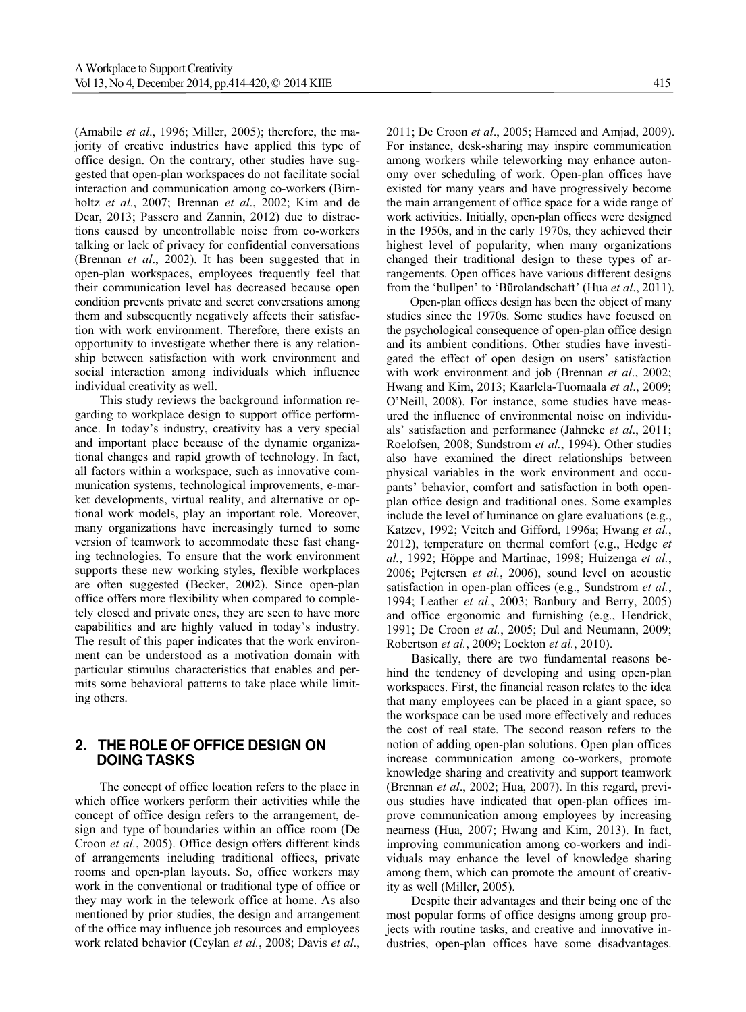(Amabile *et al*., 1996; Miller, 2005); therefore, the majority of creative industries have applied this type of office design. On the contrary, other studies have suggested that open-plan workspaces do not facilitate social interaction and communication among co-workers (Birnholtz *et al*., 2007; Brennan *et al*., 2002; Kim and de Dear, 2013; Passero and Zannin, 2012) due to distractions caused by uncontrollable noise from co-workers talking or lack of privacy for confidential conversations (Brennan *et al*., 2002). It has been suggested that in open-plan workspaces, employees frequently feel that their communication level has decreased because open condition prevents private and secret conversations among them and subsequently negatively affects their satisfaction with work environment. Therefore, there exists an opportunity to investigate whether there is any relationship between satisfaction with work environment and social interaction among individuals which influence individual creativity as well.

This study reviews the background information regarding to workplace design to support office performance. In today's industry, creativity has a very special and important place because of the dynamic organizational changes and rapid growth of technology. In fact, all factors within a workspace, such as innovative communication systems, technological improvements, e-market developments, virtual reality, and alternative or optional work models, play an important role. Moreover, many organizations have increasingly turned to some version of teamwork to accommodate these fast changing technologies. To ensure that the work environment supports these new working styles, flexible workplaces are often suggested (Becker, 2002). Since open-plan office offers more flexibility when compared to completely closed and private ones, they are seen to have more capabilities and are highly valued in today's industry. The result of this paper indicates that the work environment can be understood as a motivation domain with particular stimulus characteristics that enables and permits some behavioral patterns to take place while limiting others.

# 2. THE ROLE OF OFFICE DESIGN ON DOING TASKS

The concept of office location refers to the place in which office workers perform their activities while the concept of office design refers to the arrangement, design and type of boundaries within an office room (De Croon *et al.*, 2005). Office design offers different kinds of arrangements including traditional offices, private rooms and open-plan layouts. So, office workers may work in the conventional or traditional type of office or they may work in the telework office at home. As also mentioned by prior studies, the design and arrangement of the office may influence job resources and employees work related behavior (Ceylan *et al.*, 2008; Davis *et al*.,

2011; De Croon *et al*., 2005; Hameed and Amjad, 2009). For instance, desk-sharing may inspire communication among workers while teleworking may enhance autonomy over scheduling of work. Open-plan offices have existed for many years and have progressively become the main arrangement of office space for a wide range of work activities. Initially, open-plan offices were designed in the 1950s, and in the early 1970s, they achieved their highest level of popularity, when many organizations changed their traditional design to these types of arrangements. Open offices have various different designs

from the 'bullpen' to 'Bürolandschaft' (Hua *et al*., 2011). Open-plan offices design has been the object of many studies since the 1970s. Some studies have focused on the psychological consequence of open-plan office design and its ambient conditions. Other studies have investigated the effect of open design on users' satisfaction with work environment and job (Brennan *et al*., 2002; Hwang and Kim, 2013; Kaarlela-Tuomaala *et al*., 2009; O'Neill, 2008). For instance, some studies have measured the influence of environmental noise on individuals' satisfaction and performance (Jahncke *et al*., 2011; Roelofsen, 2008; Sundstrom *et al.*, 1994). Other studies also have examined the direct relationships between physical variables in the work environment and occupants' behavior, comfort and satisfaction in both openplan office design and traditional ones. Some examples include the level of luminance on glare evaluations (e.g., Katzev, 1992; Veitch and Gifford, 1996a; Hwang *et al.*, 2012), temperature on thermal comfort (e.g., Hedge *et al.*, 1992; Höppe and Martinac, 1998; Huizenga *et al.*, 2006; Pejtersen *et al.*, 2006), sound level on acoustic satisfaction in open-plan offices (e.g., Sundstrom *et al.*, 1994; Leather *et al.*, 2003; Banbury and Berry, 2005) and office ergonomic and furnishing (e.g., Hendrick, 1991; De Croon *et al.*, 2005; Dul and Neumann, 2009; Robertson *et al.*, 2009; Lockton *et al.*, 2010).

Basically, there are two fundamental reasons behind the tendency of developing and using open-plan workspaces. First, the financial reason relates to the idea that many employees can be placed in a giant space, so the workspace can be used more effectively and reduces the cost of real state. The second reason refers to the notion of adding open-plan solutions. Open plan offices increase communication among co-workers, promote knowledge sharing and creativity and support teamwork (Brennan *et al*., 2002; Hua, 2007). In this regard, previous studies have indicated that open-plan offices improve communication among employees by increasing nearness (Hua, 2007; Hwang and Kim, 2013). In fact, improving communication among co-workers and individuals may enhance the level of knowledge sharing among them, which can promote the amount of creativity as well (Miller, 2005).

Despite their advantages and their being one of the most popular forms of office designs among group projects with routine tasks, and creative and innovative industries, open-plan offices have some disadvantages.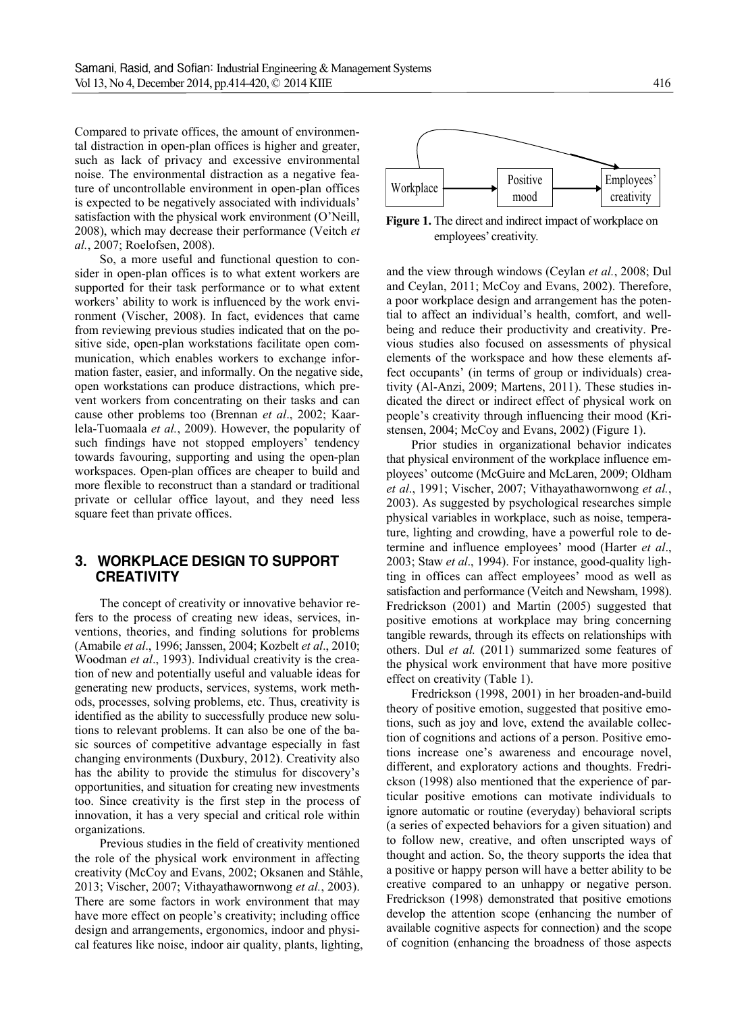Compared to private offices, the amount of environmental distraction in open-plan offices is higher and greater, such as lack of privacy and excessive environmental noise. The environmental distraction as a negative feature of uncontrollable environment in open-plan offices is expected to be negatively associated with individuals' satisfaction with the physical work environment (O'Neill, 2008), which may decrease their performance (Veitch *et al.*, 2007; Roelofsen, 2008).

So, a more useful and functional question to consider in open-plan offices is to what extent workers are supported for their task performance or to what extent workers' ability to work is influenced by the work environment (Vischer, 2008). In fact, evidences that came from reviewing previous studies indicated that on the positive side, open-plan workstations facilitate open communication, which enables workers to exchange information faster, easier, and informally. On the negative side, open workstations can produce distractions, which prevent workers from concentrating on their tasks and can cause other problems too (Brennan *et al*., 2002; Kaarlela-Tuomaala *et al.*, 2009). However, the popularity of such findings have not stopped employers' tendency towards favouring, supporting and using the open-plan workspaces. Open-plan offices are cheaper to build and more flexible to reconstruct than a standard or traditional private or cellular office layout, and they need less square feet than private offices.

### 3. WORKPLACE DESIGN TO SUPPORT **CREATIVITY**

The concept of creativity or innovative behavior refers to the process of creating new ideas, services, inventions, theories, and finding solutions for problems (Amabile *et al*., 1996; Janssen, 2004; Kozbelt *et al*., 2010; Woodman *et al*., 1993). Individual creativity is the creation of new and potentially useful and valuable ideas for generating new products, services, systems, work methods, processes, solving problems, etc. Thus, creativity is identified as the ability to successfully produce new solutions to relevant problems. It can also be one of the basic sources of competitive advantage especially in fast changing environments (Duxbury, 2012). Creativity also has the ability to provide the stimulus for discovery's opportunities, and situation for creating new investments too. Since creativity is the first step in the process of innovation, it has a very special and critical role within organizations.

Previous studies in the field of creativity mentioned the role of the physical work environment in affecting creativity (McCoy and Evans, 2002; Oksanen and Ståhle, 2013; Vischer, 2007; Vithayathawornwong *et al.*, 2003). There are some factors in work environment that may have more effect on people's creativity; including office design and arrangements, ergonomics, indoor and physical features like noise, indoor air quality, plants, lighting,



**Figure 1.** The direct and indirect impact of workplace on employees' creativity.

and the view through windows (Ceylan *et al.*, 2008; Dul and Ceylan, 2011; McCoy and Evans, 2002). Therefore, a poor workplace design and arrangement has the potential to affect an individual's health, comfort, and wellbeing and reduce their productivity and creativity. Previous studies also focused on assessments of physical elements of the workspace and how these elements affect occupants' (in terms of group or individuals) creativity (Al-Anzi, 2009; Martens, 2011). These studies indicated the direct or indirect effect of physical work on people's creativity through influencing their mood (Kristensen, 2004; McCoy and Evans, 2002) (Figure 1).

Prior studies in organizational behavior indicates that physical environment of the workplace influence employees' outcome (McGuire and McLaren, 2009; Oldham *et al*., 1991; Vischer, 2007; Vithayathawornwong *et al.*, 2003). As suggested by psychological researches simple physical variables in workplace, such as noise, temperature, lighting and crowding, have a powerful role to determine and influence employees' mood (Harter *et al*., 2003; Staw *et al*., 1994). For instance, good-quality lighting in offices can affect employees' mood as well as satisfaction and performance (Veitch and Newsham, 1998). Fredrickson (2001) and Martin (2005) suggested that positive emotions at workplace may bring concerning tangible rewards, through its effects on relationships with others. Dul *et al.* (2011) summarized some features of the physical work environment that have more positive effect on creativity (Table 1).

Fredrickson (1998, 2001) in her broaden-and-build theory of positive emotion, suggested that positive emotions, such as joy and love, extend the available collection of cognitions and actions of a person. Positive emotions increase one's awareness and encourage novel, different, and exploratory actions and thoughts. Fredrickson (1998) also mentioned that the experience of particular positive emotions can motivate individuals to ignore automatic or routine (everyday) behavioral scripts (a series of expected behaviors for a given situation) and to follow new, creative, and often unscripted ways of thought and action. So, the theory supports the idea that a positive or happy person will have a better ability to be creative compared to an unhappy or negative person. Fredrickson (1998) demonstrated that positive emotions develop the attention scope (enhancing the number of available cognitive aspects for connection) and the scope of cognition (enhancing the broadness of those aspects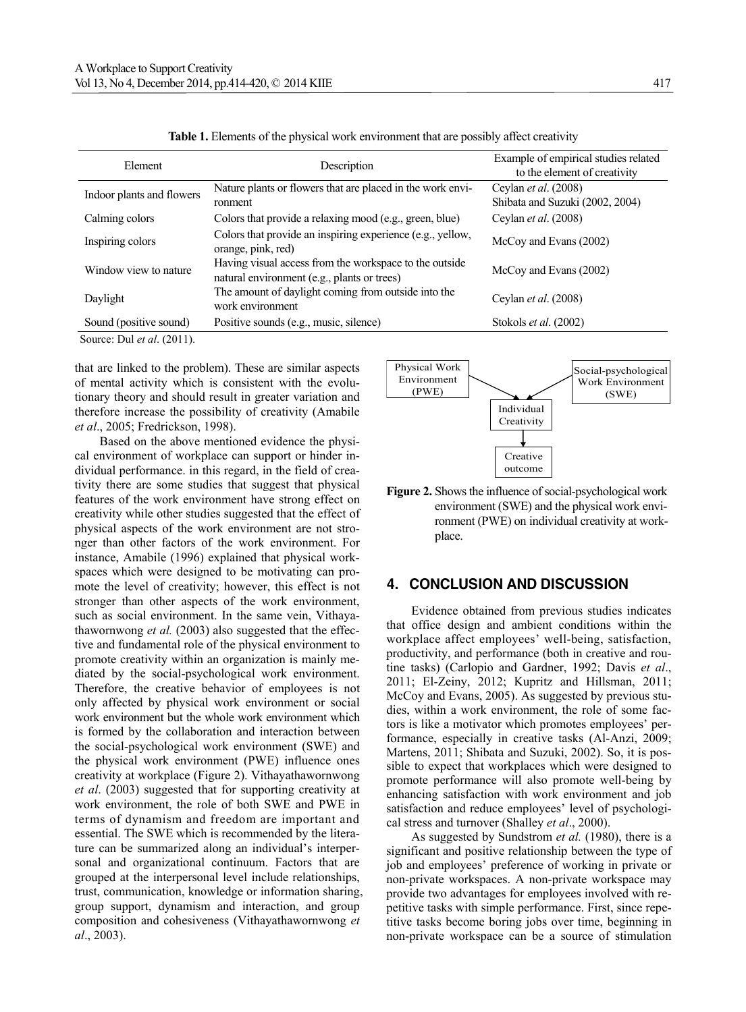| Element                                                 | Description                                                                                           | Example of empirical studies related<br>to the element of creativity |
|---------------------------------------------------------|-------------------------------------------------------------------------------------------------------|----------------------------------------------------------------------|
|                                                         |                                                                                                       |                                                                      |
| Indoor plants and flowers                               | Nature plants or flowers that are placed in the work envi-                                            | Ceylan <i>et al.</i> (2008)                                          |
|                                                         | ronment                                                                                               | Shibata and Suzuki (2002, 2004)                                      |
| Calming colors                                          | Colors that provide a relaxing mood (e.g., green, blue)                                               | Ceylan <i>et al.</i> (2008)                                          |
| Inspiring colors                                        | Colors that provide an inspiring experience (e.g., yellow,<br>orange, pink, red)                      | McCoy and Evans (2002)                                               |
| Window view to nature                                   | Having visual access from the workspace to the outside<br>natural environment (e.g., plants or trees) | McCoy and Evans (2002)                                               |
| Daylight                                                | The amount of daylight coming from outside into the<br>work environment                               | Ceylan <i>et al.</i> (2008)                                          |
| Sound (positive sound)                                  | Positive sounds (e.g., music, silence)                                                                | Stokols et al. (2002)                                                |
| $\sim$ $\sim$ $\sim$ $\sim$ $\sim$ $\sim$ $\sim$ $\sim$ |                                                                                                       |                                                                      |

**Table 1.** Elements of the physical work environment that are possibly affect creativity

Source: Dul *et al*. (2011).

that are linked to the problem). These are similar aspects of mental activity which is consistent with the evolutionary theory and should result in greater variation and therefore increase the possibility of creativity (Amabile *et al*., 2005; Fredrickson, 1998).

Based on the above mentioned evidence the physical environment of workplace can support or hinder individual performance. in this regard, in the field of creativity there are some studies that suggest that physical features of the work environment have strong effect on creativity while other studies suggested that the effect of physical aspects of the work environment are not stronger than other factors of the work environment. For instance, Amabile (1996) explained that physical workspaces which were designed to be motivating can promote the level of creativity; however, this effect is not stronger than other aspects of the work environment, such as social environment. In the same vein, Vithayathawornwong *et al.* (2003) also suggested that the effective and fundamental role of the physical environment to promote creativity within an organization is mainly mediated by the social-psychological work environment. Therefore, the creative behavior of employees is not only affected by physical work environment or social work environment but the whole work environment which is formed by the collaboration and interaction between the social-psychological work environment (SWE) and the physical work environment (PWE) influence ones creativity at workplace (Figure 2). Vithayathawornwong *et al*. (2003) suggested that for supporting creativity at work environment, the role of both SWE and PWE in terms of dynamism and freedom are important and essential. The SWE which is recommended by the literature can be summarized along an individual's interpersonal and organizational continuum. Factors that are grouped at the interpersonal level include relationships, trust, communication, knowledge or information sharing, group support, dynamism and interaction, and group composition and cohesiveness (Vithayathawornwong *et al*., 2003).



**Figure 2.** Shows the influence of social-psychological work environment (SWE) and the physical work environment (PWE) on individual creativity at workplace.

## 4. CONCLUSION AND DISCUSSION

Evidence obtained from previous studies indicates that office design and ambient conditions within the workplace affect employees' well-being, satisfaction, productivity, and performance (both in creative and routine tasks) (Carlopio and Gardner, 1992; Davis *et al*., 2011; El-Zeiny, 2012; Kupritz and Hillsman, 2011; McCoy and Evans, 2005). As suggested by previous studies, within a work environment, the role of some factors is like a motivator which promotes employees' performance, especially in creative tasks (Al-Anzi, 2009; Martens, 2011; Shibata and Suzuki, 2002). So, it is possible to expect that workplaces which were designed to promote performance will also promote well-being by enhancing satisfaction with work environment and job satisfaction and reduce employees' level of psychological stress and turnover (Shalley *et al*., 2000).

As suggested by Sundstrom *et al.* (1980), there is a significant and positive relationship between the type of job and employees' preference of working in private or non-private workspaces. A non-private workspace may provide two advantages for employees involved with repetitive tasks with simple performance. First, since repetitive tasks become boring jobs over time, beginning in non-private workspace can be a source of stimulation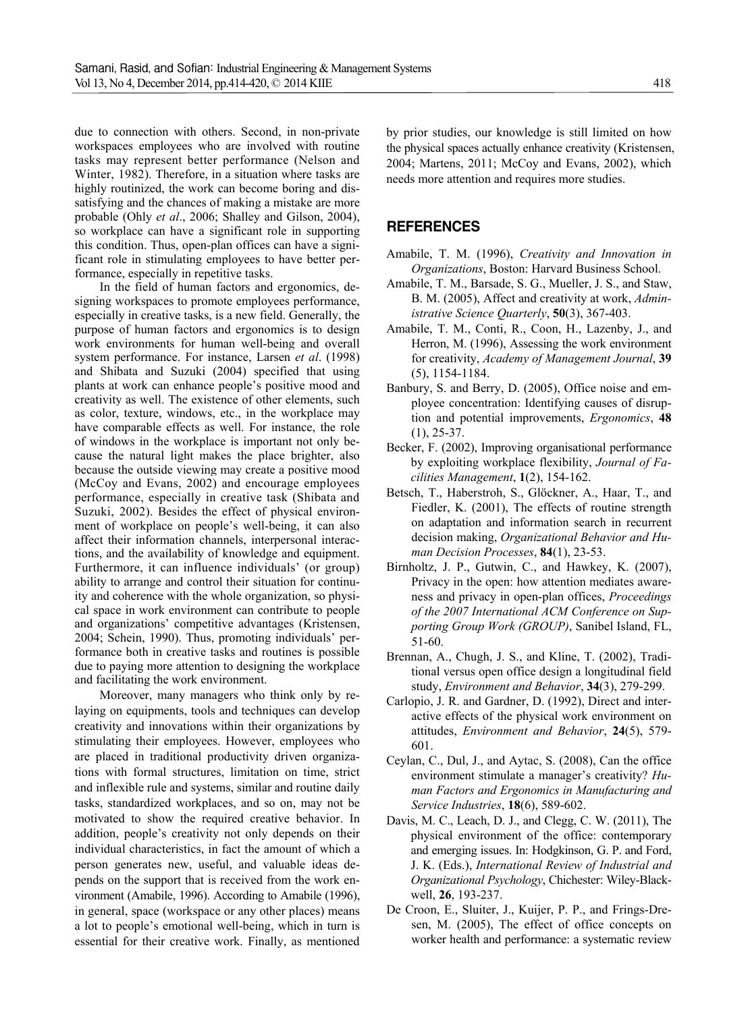due to connection with others. Second, in non-private workspaces employees who are involved with routine tasks may represent better performance (Nelson and Winter, 1982). Therefore, in a situation where tasks are highly routinized, the work can become boring and dissatisfying and the chances of making a mistake are more probable (Ohly *et al*., 2006; Shalley and Gilson, 2004), so workplace can have a significant role in supporting this condition. Thus, open-plan offices can have a significant role in stimulating employees to have better performance, especially in repetitive tasks.

In the field of human factors and ergonomics, designing workspaces to promote employees performance, especially in creative tasks, is a new field. Generally, the purpose of human factors and ergonomics is to design work environments for human well-being and overall system performance. For instance, Larsen *et al*. (1998) and Shibata and Suzuki (2004) specified that using plants at work can enhance people's positive mood and creativity as well. The existence of other elements, such as color, texture, windows, etc., in the workplace may have comparable effects as well. For instance, the role of windows in the workplace is important not only because the natural light makes the place brighter, also because the outside viewing may create a positive mood (McCoy and Evans, 2002) and encourage employees performance, especially in creative task (Shibata and Suzuki, 2002). Besides the effect of physical environment of workplace on people's well-being, it can also affect their information channels, interpersonal interactions, and the availability of knowledge and equipment. Furthermore, it can influence individuals' (or group) ability to arrange and control their situation for continuity and coherence with the whole organization, so physical space in work environment can contribute to people and organizations' competitive advantages (Kristensen, 2004; Schein, 1990). Thus, promoting individuals' performance both in creative tasks and routines is possible due to paying more attention to designing the workplace and facilitating the work environment.

Moreover, many managers who think only by relaying on equipments, tools and techniques can develop creativity and innovations within their organizations by stimulating their employees. However, employees who are placed in traditional productivity driven organizations with formal structures, limitation on time, strict and inflexible rule and systems, similar and routine daily tasks, standardized workplaces, and so on, may not be motivated to show the required creative behavior. In addition, people's creativity not only depends on their individual characteristics, in fact the amount of which a person generates new, useful, and valuable ideas depends on the support that is received from the work environment (Amabile, 1996). According to Amabile (1996), in general, space (workspace or any other places) means a lot to people's emotional well-being, which in turn is essential for their creative work. Finally, as mentioned by prior studies, our knowledge is still limited on how the physical spaces actually enhance creativity (Kristensen, 2004; Martens, 2011; McCoy and Evans, 2002), which needs more attention and requires more studies.

### **REFERENCES**

Amabile, T. M. (1996), *Creativity and Innovation in Organizations*, Boston: Harvard Business School.

- Amabile, T. M., Barsade, S. G., Mueller, J. S., and Staw, B. M. (2005), Affect and creativity at work, *Administrative Science Quarterly*, **50**(3), 367-403.
- Amabile, T. M., Conti, R., Coon, H., Lazenby, J., and Herron, M. (1996), Assessing the work environment for creativity, *Academy of Management Journal*, **39**  (5), 1154-1184.
- Banbury, S. and Berry, D. (2005), Office noise and employee concentration: Identifying causes of disruption and potential improvements, *Ergonomics*, **48**  (1), 25-37.
- Becker, F. (2002), Improving organisational performance by exploiting workplace flexibility, *Journal of Facilities Management*, **1**(2), 154-162.
- Betsch, T., Haberstroh, S., Glöckner, A., Haar, T., and Fiedler, K. (2001), The effects of routine strength on adaptation and information search in recurrent decision making, *Organizational Behavior and Human Decision Processes*, **84**(1), 23-53.
- Birnholtz, J. P., Gutwin, C., and Hawkey, K. (2007), Privacy in the open: how attention mediates awareness and privacy in open-plan offices, *Proceedings of the 2007 International ACM Conference on Supporting Group Work (GROUP)*, Sanibel Island, FL, 51-60.
- Brennan, A., Chugh, J. S., and Kline, T. (2002), Traditional versus open office design a longitudinal field study, *Environment and Behavior*, **34**(3), 279-299.
- Carlopio, J. R. and Gardner, D. (1992), Direct and interactive effects of the physical work environment on attitudes, *Environment and Behavior*, **24**(5), 579- 601.
- Ceylan, C., Dul, J., and Aytac, S. (2008), Can the office environment stimulate a manager's creativity? *Human Factors and Ergonomics in Manufacturing and Service Industries*, **18**(6), 589-602.
- Davis, M. C., Leach, D. J., and Clegg, C. W. (2011), The physical environment of the office: contemporary and emerging issues. In: Hodgkinson, G. P. and Ford, J. K. (Eds.), *International Review of Industrial and Organizational Psychology*, Chichester: Wiley-Blackwell, **26**, 193-237.
- De Croon, E., Sluiter, J., Kuijer, P. P., and Frings-Dresen, M. (2005), The effect of office concepts on worker health and performance: a systematic review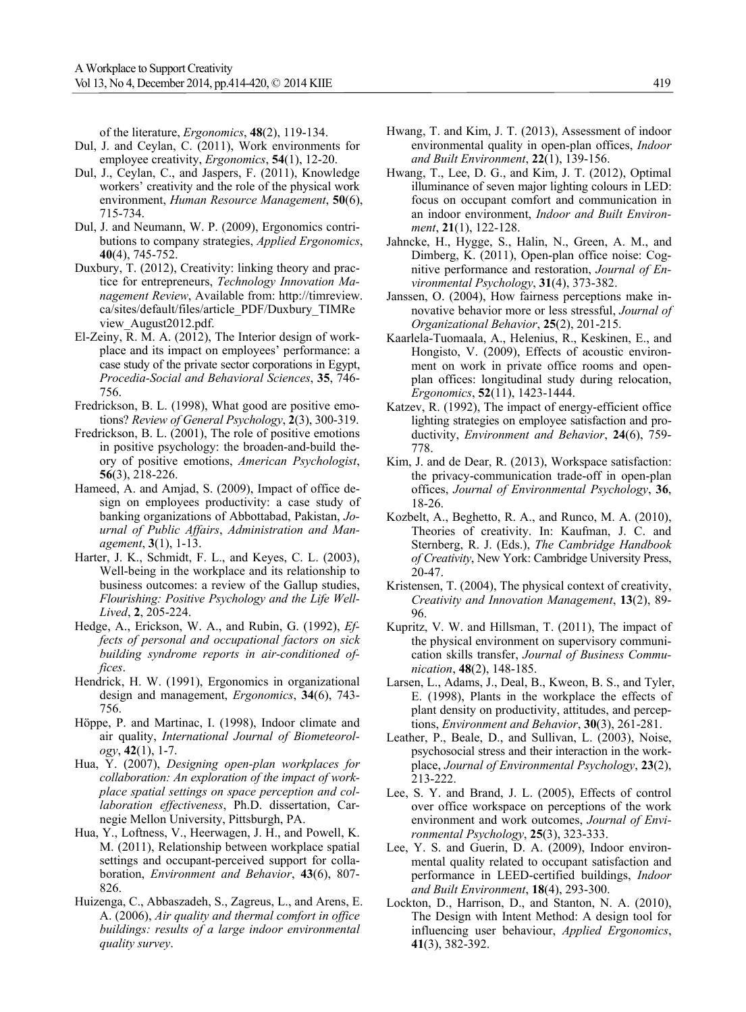of the literature, *Ergonomics*, **48**(2), 119-134.

- Dul, J. and Ceylan, C. (2011), Work environments for employee creativity, *Ergonomics*, **54**(1), 12-20.
- Dul, J., Ceylan, C., and Jaspers, F. (2011), Knowledge workers' creativity and the role of the physical work environment, *Human Resource Management*, **50**(6), 715-734.
- Dul, J. and Neumann, W. P. (2009), Ergonomics contributions to company strategies, *Applied Ergonomics*, **40**(4), 745-752.
- Duxbury, T. (2012), Creativity: linking theory and practice for entrepreneurs, *Technology Innovation Management Review*, Available from: http://timreview. ca/sites/default/files/article\_PDF/Duxbury\_TIMRe view\_August2012.pdf.
- El-Zeiny, R. M. A. (2012), The Interior design of workplace and its impact on employees' performance: a case study of the private sector corporations in Egypt, *Procedia-Social and Behavioral Sciences*, **35**, 746- 756.
- Fredrickson, B. L. (1998), What good are positive emotions? *Review of General Psychology*, **2**(3), 300-319.
- Fredrickson, B. L. (2001), The role of positive emotions in positive psychology: the broaden-and-build theory of positive emotions, *American Psychologist*, **56**(3), 218-226.
- Hameed, A. and Amjad, S. (2009), Impact of office design on employees productivity: a case study of banking organizations of Abbottabad, Pakistan, *Journal of Public Affairs*, *Administration and Management*, **3**(1), 1-13.
- Harter, J. K., Schmidt, F. L., and Keyes, C. L. (2003), Well-being in the workplace and its relationship to business outcomes: a review of the Gallup studies, *Flourishing: Positive Psychology and the Life Well-Lived*, **2**, 205-224.
- Hedge, A., Erickson, W. A., and Rubin, G. (1992), *Effects of personal and occupational factors on sick building syndrome reports in air-conditioned offices*.
- Hendrick, H. W. (1991), Ergonomics in organizational design and management, *Ergonomics*, **34**(6), 743- 756.
- Höppe, P. and Martinac, I. (1998), Indoor climate and air quality, *International Journal of Biometeorology*, **42**(1), 1-7.
- Hua, Y. (2007), *Designing open-plan workplaces for collaboration: An exploration of the impact of workplace spatial settings on space perception and collaboration effectiveness*, Ph.D. dissertation, Carnegie Mellon University, Pittsburgh, PA.
- Hua, Y., Loftness, V., Heerwagen, J. H., and Powell, K. M. (2011), Relationship between workplace spatial settings and occupant-perceived support for collaboration, *Environment and Behavior*, **43**(6), 807- 826.
- Huizenga, C., Abbaszadeh, S., Zagreus, L., and Arens, E. A. (2006), *Air quality and thermal comfort in office buildings: results of a large indoor environmental quality survey*.
- Hwang, T. and Kim, J. T. (2013), Assessment of indoor environmental quality in open-plan offices, *Indoor and Built Environment*, **22**(1), 139-156.
- Hwang, T., Lee, D. G., and Kim, J. T. (2012), Optimal illuminance of seven major lighting colours in LED: focus on occupant comfort and communication in an indoor environment, *Indoor and Built Environment*, **21**(1), 122-128.
- Jahncke, H., Hygge, S., Halin, N., Green, A. M., and Dimberg, K. (2011), Open-plan office noise: Cognitive performance and restoration, *Journal of Environmental Psychology*, **31**(4), 373-382.
- Janssen, O. (2004), How fairness perceptions make innovative behavior more or less stressful, *Journal of Organizational Behavior*, **25**(2), 201-215.
- Kaarlela-Tuomaala, A., Helenius, R., Keskinen, E., and Hongisto, V. (2009), Effects of acoustic environment on work in private office rooms and openplan offices: longitudinal study during relocation, *Ergonomics*, **52**(11), 1423-1444.
- Katzev, R. (1992), The impact of energy-efficient office lighting strategies on employee satisfaction and productivity, *Environment and Behavior*, **24**(6), 759- 778.
- Kim, J. and de Dear, R. (2013), Workspace satisfaction: the privacy-communication trade-off in open-plan offices, *Journal of Environmental Psychology*, **36**, 18-26.
- Kozbelt, A., Beghetto, R. A., and Runco, M. A. (2010), Theories of creativity. In: Kaufman, J. C. and Sternberg, R. J. (Eds.), *The Cambridge Handbook of Creativity*, New York: Cambridge University Press, 20-47.
- Kristensen, T. (2004), The physical context of creativity, *Creativity and Innovation Management*, **13**(2), 89- 96.
- Kupritz, V. W. and Hillsman, T. (2011), The impact of the physical environment on supervisory communication skills transfer, *Journal of Business Communication*, **48**(2), 148-185.
- Larsen, L., Adams, J., Deal, B., Kweon, B. S., and Tyler, E. (1998), Plants in the workplace the effects of plant density on productivity, attitudes, and perceptions, *Environment and Behavior*, **30**(3), 261-281.
- Leather, P., Beale, D., and Sullivan, L. (2003), Noise, psychosocial stress and their interaction in the workplace, *Journal of Environmental Psychology*, **23**(2), 213-222.
- Lee, S. Y. and Brand, J. L. (2005), Effects of control over office workspace on perceptions of the work environment and work outcomes, *Journal of Environmental Psychology*, **25**(3), 323-333.
- Lee, Y. S. and Guerin, D. A. (2009), Indoor environmental quality related to occupant satisfaction and performance in LEED-certified buildings, *Indoor and Built Environment*, **18**(4), 293-300.
- Lockton, D., Harrison, D., and Stanton, N. A. (2010), The Design with Intent Method: A design tool for influencing user behaviour, *Applied Ergonomics*, **41**(3), 382-392.